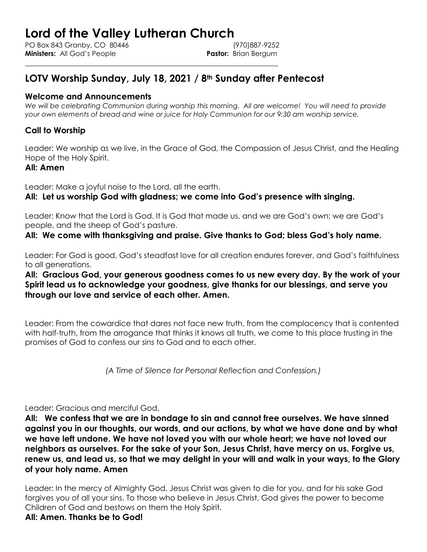# **Lord of the Valley Lutheran Church**

\_\_\_\_\_\_\_\_\_\_\_\_\_\_\_\_\_\_\_\_\_\_\_\_\_\_\_\_\_\_\_\_\_\_\_\_\_\_\_\_\_\_\_\_\_\_\_\_\_\_\_\_\_\_\_\_\_\_\_\_\_\_\_\_\_\_

PO Box 843 Granby, CO 80446 (970)887-9252 **Ministers:** All God's People **Pastor:** Brian Bergum

## **LOTV Worship Sunday, July 18, 2021 / 8th Sunday after Pentecost**

### **Welcome and Announcements**

We will be celebrating Communion during worship this morning. All are welcome! You will need to provide *your own elements of bread and wine or juice for Holy Communion for our 9:30 am worship service.* 

## **Call to Worship**

Leader: We worship as we live, in the Grace of God, the Compassion of Jesus Christ, and the Healing Hope of the Holy Spirit.

#### **All: Amen**

Leader: Make a joyful noise to the Lord, all the earth. **All: Let us worship God with gladness; we come into God's presence with singing.** 

Leader: Know that the Lord is God. It is God that made us, and we are God's own; we are God's people, and the sheep of God's pasture.

**All: We come with thanksgiving and praise. Give thanks to God; bless God's holy name.** 

Leader: For God is good, God's steadfast love for all creation endures forever, and God's faithfulness to all generations.

**All: Gracious God, your generous goodness comes to us new every day. By the work of your Spirit lead us to acknowledge your goodness, give thanks for our blessings, and serve you through our love and service of each other. Amen.**

Leader: From the cowardice that dares not face new truth, from the complacency that is contented with half-truth, from the arrogance that thinks it knows all truth, we come to this place trusting in the promises of God to confess our sins to God and to each other.

*(A Time of Silence for Personal Reflection and Confession.)*

Leader: Gracious and merciful God,

**All: We confess that we are in bondage to sin and cannot free ourselves. We have sinned against you in our thoughts, our words, and our actions, by what we have done and by what we have left undone. We have not loved you with our whole heart; we have not loved our neighbors as ourselves. For the sake of your Son, Jesus Christ, have mercy on us. Forgive us, renew us, and lead us, so that we may delight in your will and walk in your ways, to the Glory of your holy name. Amen**

Leader: In the mercy of Almighty God, Jesus Christ was given to die for you, and for his sake God forgives you of all your sins. To those who believe in Jesus Christ, God gives the power to become Children of God and bestows on them the Holy Spirit.

## **All: Amen. Thanks be to God!**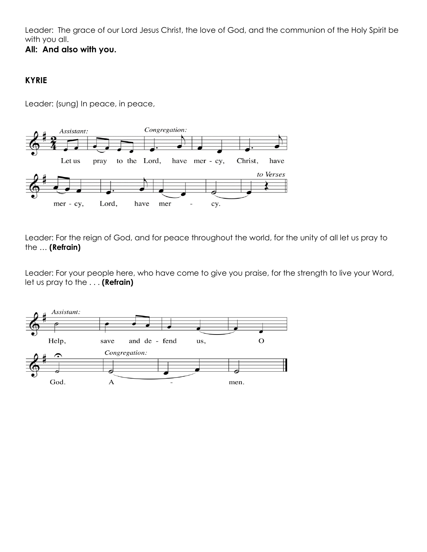Leader: The grace of our Lord Jesus Christ, the love of God, and the communion of the Holy Spirit be with you all.

**All: And also with you.**

## **KYRIE**

Leader: (sung) In peace, in peace,



Leader: For the reign of God, and for peace throughout the world, for the unity of all let us pray to the … **(Refrain)**

Leader: For your people here, who have come to give you praise, for the strength to live your Word, let us pray to the . . . **(Refrain)**

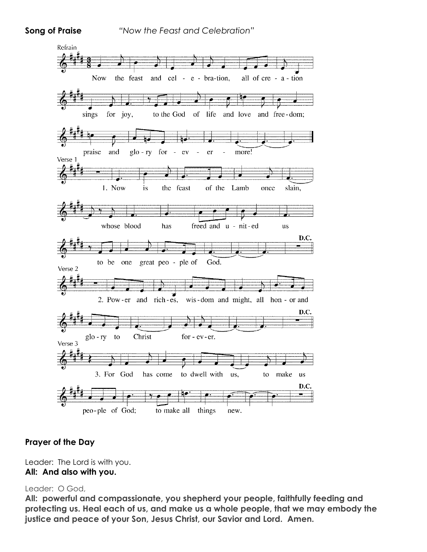

## **Prayer of the Day**

Leader: The Lord is with you. **All: And also with you.**

#### Leader: O God,

**All: powerful and compassionate, you shepherd your people, faithfully feeding and protecting us. Heal each of us, and make us a whole people, that we may embody the justice and peace of your Son, Jesus Christ, our Savior and Lord. Amen.**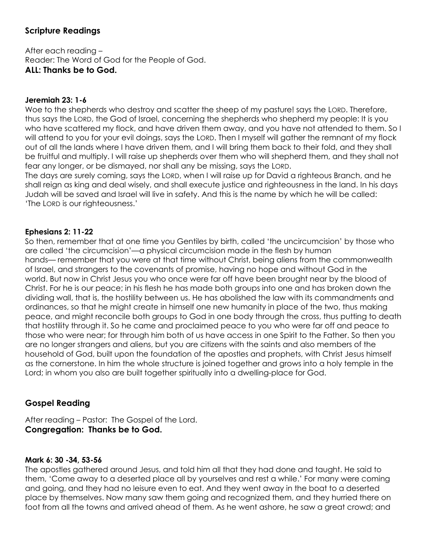## **Scripture Readings**

After each reading – Reader: The Word of God for the People of God. **ALL: Thanks be to God.**

#### **Jeremiah 23: 1-6**

Woe to the shepherds who destroy and scatter the sheep of my pasture! says the LORD. Therefore, thus says the LORD, the God of Israel, concerning the shepherds who shepherd my people: It is you who have scattered my flock, and have driven them away, and you have not attended to them. So I will attend to you for your evil doings, says the LORD. Then I myself will gather the remnant of my flock out of all the lands where I have driven them, and I will bring them back to their fold, and they shall be fruitful and multiply. I will raise up shepherds over them who will shepherd them, and they shall not fear any longer, or be dismayed, nor shall any be missing, says the LORD.

The days are surely coming, says the LORD, when I will raise up for David a righteous Branch, and he shall reign as king and deal wisely, and shall execute justice and righteousness in the land. In his days Judah will be saved and Israel will live in safety. And this is the name by which he will be called: 'The LORD is our righteousness.'

#### **Ephesians 2: 11-22**

So then, remember that at one time you Gentiles by birth, called 'the uncircumcision' by those who are called 'the circumcision'—a physical circumcision made in the flesh by human hands— remember that you were at that time without Christ, being aliens from the commonwealth of Israel, and strangers to the covenants of promise, having no hope and without God in the world. But now in Christ Jesus you who once were far off have been brought near by the blood of Christ. For he is our peace; in his flesh he has made both groups into one and has broken down the dividing wall, that is, the hostility between us. He has abolished the law with its commandments and ordinances, so that he might create in himself one new humanity in place of the two, thus making peace, and might reconcile both groups to God in one body through the cross, thus putting to death that hostility through it. So he came and proclaimed peace to you who were far off and peace to those who were near; for through him both of us have access in one Spirit to the Father. So then you are no longer strangers and aliens, but you are citizens with the saints and also members of the household of God, built upon the foundation of the apostles and prophets, with Christ Jesus himself as the cornerstone. In him the whole structure is joined together and grows into a holy temple in the Lord; in whom you also are built together spiritually into a dwelling-place for God.

## **Gospel Reading**

After reading – Pastor: The Gospel of the Lord. **Congregation: Thanks be to God.**

#### **Mark 6: 30 -34, 53-56**

The apostles gathered around Jesus, and told him all that they had done and taught. He said to them, 'Come away to a deserted place all by yourselves and rest a while.' For many were coming and going, and they had no leisure even to eat. And they went away in the boat to a deserted place by themselves. Now many saw them going and recognized them, and they hurried there on foot from all the towns and arrived ahead of them. As he went ashore, he saw a great crowd; and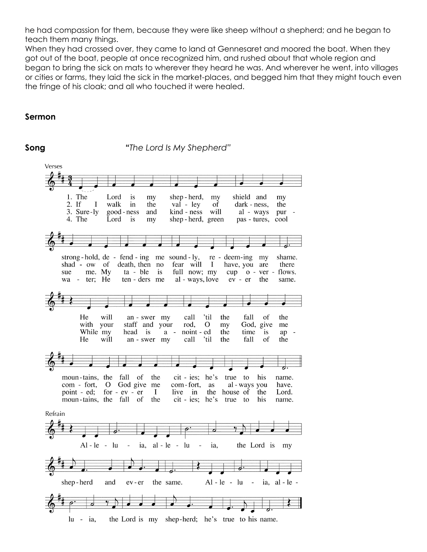he had compassion for them, because they were like sheep without a shepherd; and he began to teach them many things.

When they had crossed over, they came to land at Gennesaret and moored the boat. When they got out of the boat, people at once recognized him, and rushed about that whole region and began to bring the sick on mats to wherever they heard he was. And wherever he went, into villages or cities or farms, they laid the sick in the market-places, and begged him that they might touch even the fringe of his cloak; and all who touched it were healed.

#### **Sermon**

**Song "***The Lord Is My Shepherd"*

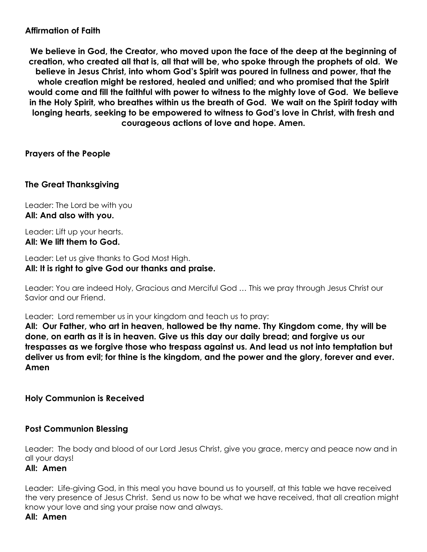### **Affirmation of Faith**

**We believe in God, the Creator, who moved upon the face of the deep at the beginning of creation, who created all that is, all that will be, who spoke through the prophets of old. We believe in Jesus Christ, into whom God's Spirit was poured in fullness and power, that the whole creation might be restored, healed and unified; and who promised that the Spirit would come and fill the faithful with power to witness to the mighty love of God. We believe in the Holy Spirit, who breathes within us the breath of God. We wait on the Spirit today with longing hearts, seeking to be empowered to witness to God's love in Christ, with fresh and courageous actions of love and hope. Amen.** 

**Prayers of the People**

### **The Great Thanksgiving**

Leader: The Lord be with you **All: And also with you.**

Leader: Lift up your hearts. **All: We lift them to God.**

Leader: Let us give thanks to God Most High. **All: It is right to give God our thanks and praise.**

Leader: You are indeed Holy, Gracious and Merciful God … This we pray through Jesus Christ our Savior and our Friend.

Leader: Lord remember us in your kingdom and teach us to pray:

**All: Our Father, who art in heaven, hallowed be thy name. Thy Kingdom come, thy will be done, on earth as it is in heaven. Give us this day our daily bread; and forgive us our trespasses as we forgive those who trespass against us. And lead us not into temptation but deliver us from evil; for thine is the kingdom, and the power and the glory, forever and ever. Amen**

**Holy Communion is Received**

#### **Post Communion Blessing**

Leader: The body and blood of our Lord Jesus Christ, give you grace, mercy and peace now and in all your days!

## **All: Amen**

Leader: Life-giving God, in this meal you have bound us to yourself, at this table we have received the very presence of Jesus Christ. Send us now to be what we have received, that all creation might know your love and sing your praise now and always.

#### **All: Amen**